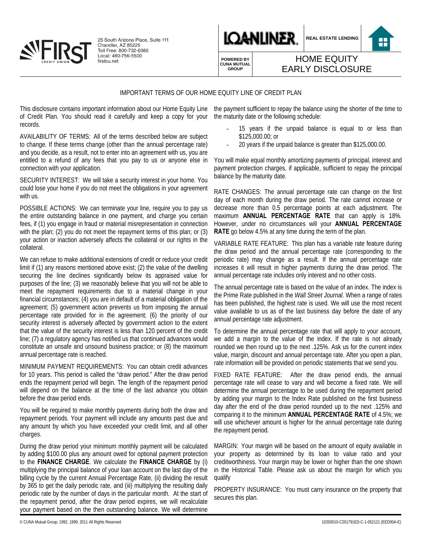

25 South Arizona Place, Suite 111 Chandler, AZ 85225<br>Toll Free: 800-732-6986<br>Local: 480-756-5500 firstcu.net



**REAL ESTATE LENDING**

8

**POWERED BY CUNA MUTUAL GROUP**

## HOME EQUITY EARLY DISCLOSURE

## IMPORTANT TERMS OF OUR HOME EQUITY LINE OF CREDIT PLAN

This disclosure contains important information about our Home Equity Line of Credit Plan. You should read it carefully and keep a copy for your records.

AVAILABILITY OF TERMS: All of the terms described below are subject to change. If these terms change (other than the annual percentage rate) and you decide, as a result, not to enter into an agreement with us, you are entitled to a refund of any fees that you pay to us or anyone else in connection with your application.

SECURITY INTEREST: We will take a security interest in your home. You could lose your home if you do not meet the obligations in your agreement with us.

POSSIBLE ACTIONS: We can terminate your line, require you to pay us the entire outstanding balance in one payment, and charge you certain fees, if (1) you engage in fraud or material misrepresentation in connection with the plan; (2) you do not meet the repayment terms of this plan; or (3) your action or inaction adversely affects the collateral or our rights in the collateral.

We can refuse to make additional extensions of credit or reduce your credit limit if (1) any reasons mentioned above exist; (2) the value of the dwelling securing the line declines significantly below its appraised value for purposes of the line; (3) we reasonably believe that you will not be able to meet the repayment requirements due to a material change in your financial circumstances; (4) you are in default of a material obligation of the agreement; (5) government action prevents us from imposing the annual percentage rate provided for in the agreement; (6) the priority of our security interest is adversely affected by government action to the extent that the value of the security interest is less than 120 percent of the credit line; (7) a regulatory agency has notified us that continued advances would constitute an unsafe and unsound business practice; or (8) the maximum annual percentage rate is reached.

MINIMUM PAYMENT REQUIREMENTS: You can obtain credit advances for 10 years. This period is called the "draw period." After the draw period ends the repayment period will begin. The length of the repayment period will depend on the balance at the time of the last advance you obtain before the draw period ends.

You will be required to make monthly payments during both the draw and repayment periods. Your payment will include any amounts past due and any amount by which you have exceeded your credit limit, and all other charges.

During the draw period your minimum monthly payment will be calculated by adding \$100.00 plus any amount owed for optional payment protection to the **FINANCE CHARGE**. We calculate the **FINANCE CHARGE** by (i) multiplying the principal balance of your loan account on the last day of the billing cycle by the current Annual Percentage Rate, (ii) dividing the result by 365 to get the daily periodic rate, and (iii) multiplying the resulting daily periodic rate by the number of days in the particular month. At the start of the repayment period, after the draw period expires, we will recalculate your payment based on the then outstanding balance. We will determine

the payment sufficient to repay the balance using the shorter of the time to the maturity date or the following schedule:

- 15 years if the unpaid balance is equal to or less than \$125,000.00; or
- 20 years if the unpaid balance is greater than \$125,000.00.

You will make equal monthly amortizing payments of principal, interest and payment protection charges, if applicable, sufficient to repay the principal balance by the maturity date.

RATE CHANGES: The annual percentage rate can change on the first day of each month during the draw period. The rate cannot increase or decrease more than 0.5 percentage points at each adjustment. The maximum **ANNUAL PERCENTAGE RATE** that can apply is 18%. However, under no circumstances will your **ANNUAL PERCENTAGE RATE** go below 4.5% at any time during the term of the plan.

VARIABLE RATE FEATURE: This plan has a variable rate feature during the draw period and the annual percentage rate (corresponding to the periodic rate) may change as a result. If the annual percentage rate increases it will result in higher payments during the draw period. The annual percentage rate includes only interest and no other costs.

The annual percentage rate is based on the value of an index. The index is the Prime Rate published in the *Wall Street Journal*. When a range of rates has been published, the highest rate is used. We will use the most recent value available to us as of the last business day before the date of any annual percentage rate adjustment.

To determine the annual percentage rate that will apply to your account, we add a margin to the value of the index. If the rate is not already rounded we then round up to the next .125%. Ask us for the current index value, margin, discount and annual percentage rate. After you open a plan, rate information will be provided on periodic statements that we send you.

FIXED RATE FEATURE: After the draw period ends, the annual percentage rate will cease to vary and will become a fixed rate. We will determine the annual percentage to be used during the repayment period by adding your margin to the Index Rate published on the first business day after the end of the draw period rounded up to the next .125% and comparing it to the minimum **ANNUAL PERCENTAGE RATE** of 4.5%; we will use whichever amount is higher for the annual percentage rate during the repayment period.

MARGIN: Your margin will be based on the amount of equity available in your property as determined by its loan to value ratio and your creditworthiness. Your margin may be lower or higher than the one shown in the Historical Table. Please ask us about the margin for which you qualify

PROPERTY INSURANCE: You must carry insurance on the property that secures this plan.